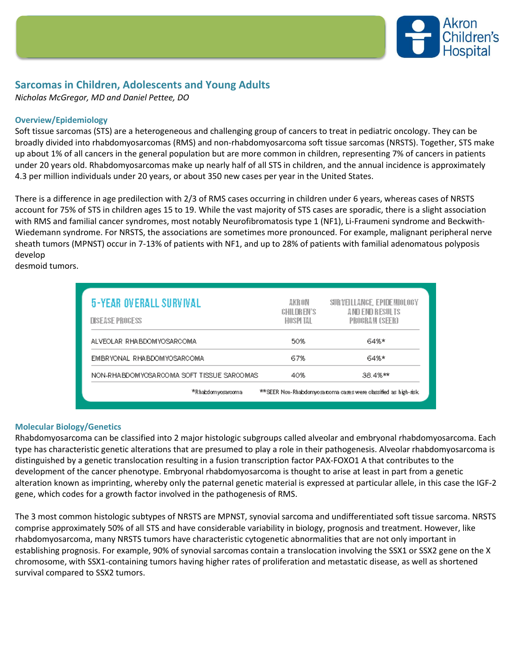

# **Sarcomas in Children, Adolescents and Young Adults**

*Nicholas McGregor, MD and Daniel Pettee, DO*

## **Overview/Epidemiology**

Soft tissue sarcomas (STS) are a heterogeneous and challenging group of cancers to treat in pediatric oncology. They can be broadly divided into rhabdomyosarcomas (RMS) and non-rhabdomyosarcoma soft tissue sarcomas (NRSTS). Together, STS make up about 1% of all cancers in the general population but are more common in children, representing 7% of cancers in patients under 20 years old. Rhabdomyosarcomas make up nearly half of all STS in children, and the annual incidence is approximately 4.3 per million individuals under 20 years, or about 350 new cases per year in the United States.

There is a difference in age predilection with 2/3 of RMS cases occurring in children under 6 years, whereas cases of NRSTS account for 75% of STS in children ages 15 to 19. While the vast majority of STS cases are sporadic, there is a slight association with RMS and familial cancer syndromes, most notably Neurofibromatosis type 1 (NF1), Li-Fraumeni syndrome and Beckwith-Wiedemann syndrome. For NRSTS, the associations are sometimes more pronounced. For example, malignant peripheral nerve sheath tumors (MPNST) occur in 7-13% of patients with NF1, and up to 28% of patients with familial adenomatous polyposis develop

desmoid tumors.

| <b>5-YEAR OVERALL SURVIVAL</b><br><b>DISEASE PROCESS</b> | AKRON<br>CHILDREN'S<br>HOSPI TAL | SURVELLANCE, EPIDEMIOLOGY<br>AND END RESULTS<br>PROGRAM (SEER)  |
|----------------------------------------------------------|----------------------------------|-----------------------------------------------------------------|
| ALVEOLAR RHABDOMYOSARCOMA                                | 50%                              | 64%*                                                            |
| EMBRYONAL RHABDOMYOSARCOMA                               | 67%                              | 64%*                                                            |
| NON-RHABDOMYOSARCOMA SOFT TISSUE SARCOMAS                | 40%                              | 38.4%**                                                         |
| *Rhabdomyosarcoma                                        |                                  | **SEER Non-Rhabdomyosa coma cases were classified as high-risk. |

### **Molecular Biology/Genetics**

Rhabdomyosarcoma can be classified into 2 major histologic subgroups called alveolar and embryonal rhabdomyosarcoma. Each type has characteristic genetic alterations that are presumed to play a role in their pathogenesis. Alveolar rhabdomyosarcoma is distinguished by a genetic translocation resulting in a fusion transcription factor PAX-FOXO1 A that contributes to the development of the cancer phenotype. Embryonal rhabdomyosarcoma is thought to arise at least in part from a genetic alteration known as imprinting, whereby only the paternal genetic material is expressed at particular allele, in this case the IGF-2 gene, which codes for a growth factor involved in the pathogenesis of RMS.

The 3 most common histologic subtypes of NRSTS are MPNST, synovial sarcoma and undifferentiated soft tissue sarcoma. NRSTS comprise approximately 50% of all STS and have considerable variability in biology, prognosis and treatment. However, like rhabdomyosarcoma, many NRSTS tumors have characteristic cytogenetic abnormalities that are not only important in establishing prognosis. For example, 90% of synovial sarcomas contain a translocation involving the SSX1 or SSX2 gene on the X chromosome, with SSX1-containing tumors having higher rates of proliferation and metastatic disease, as well as shortened survival compared to SSX2 tumors.